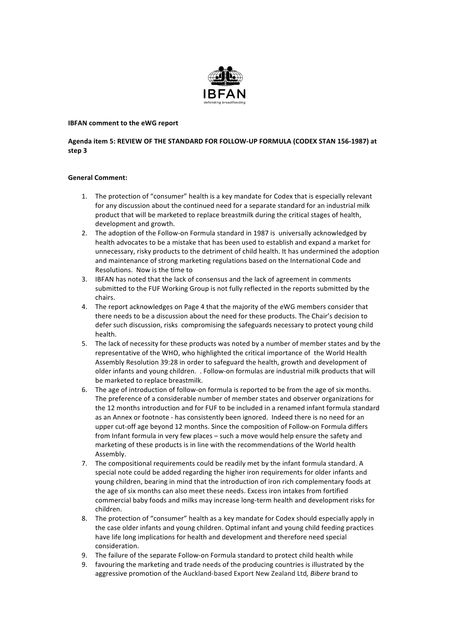

## **IBFAN** comment to the eWG report

# Agenda item 5: REVIEW OF THE STANDARD FOR FOLLOW-UP FORMULA (CODEX STAN 156-1987) at **step 3**

### **General Comment:**

- 1. The protection of "consumer" health is a key mandate for Codex that is especially relevant for any discussion about the continued need for a separate standard for an industrial milk product that will be marketed to replace breastmilk during the critical stages of health, development and growth.
- 2. The adoption of the Follow-on Formula standard in 1987 is universally acknowledged by health advocates to be a mistake that has been used to establish and expand a market for unnecessary, risky products to the detriment of child health. It has undermined the adoption and maintenance of strong marketing regulations based on the International Code and Resolutions. Now is the time to
- 3. IBFAN has noted that the lack of consensus and the lack of agreement in comments submitted to the FUF Working Group is not fully reflected in the reports submitted by the chairs.
- 4. The report acknowledges on Page 4 that the majority of the eWG members consider that there needs to be a discussion about the need for these products. The Chair's decision to defer such discussion, risks compromising the safeguards necessary to protect young child health.
- 5. The lack of necessity for these products was noted by a number of member states and by the representative of the WHO, who highlighted the critical importance of the World Health Assembly Resolution 39:28 in order to safeguard the health, growth and development of older infants and young children. . Follow-on formulas are industrial milk products that will be marketed to replace breastmilk.
- 6. The age of introduction of follow-on formula is reported to be from the age of six months. The preference of a considerable number of member states and observer organizations for the 12 months introduction and for FUF to be included in a renamed infant formula standard as an Annex or footnote - has consistently been ignored. Indeed there is no need for an upper cut-off age beyond 12 months. Since the composition of Follow-on Formula differs from Infant formula in very few places – such a move would help ensure the safety and marketing of these products is in line with the recommendations of the World health Assembly.
- 7. The compositional requirements could be readily met by the infant formula standard. A special note could be added regarding the higher iron requirements for older infants and young children, bearing in mind that the introduction of iron rich complementary foods at the age of six months can also meet these needs. Excess iron intakes from fortified commercial baby foods and milks may increase long-term health and development risks for children.
- 8. The protection of "consumer" health as a key mandate for Codex should especially apply in the case older infants and young children. Optimal infant and young child feeding practices have life long implications for health and development and therefore need special consideration.
- 9. The failure of the separate Follow-on Formula standard to protect child health while
- 9. favouring the marketing and trade needs of the producing countries is illustrated by the aggressive promotion of the Auckland-based Export New Zealand Ltd, Bibere brand to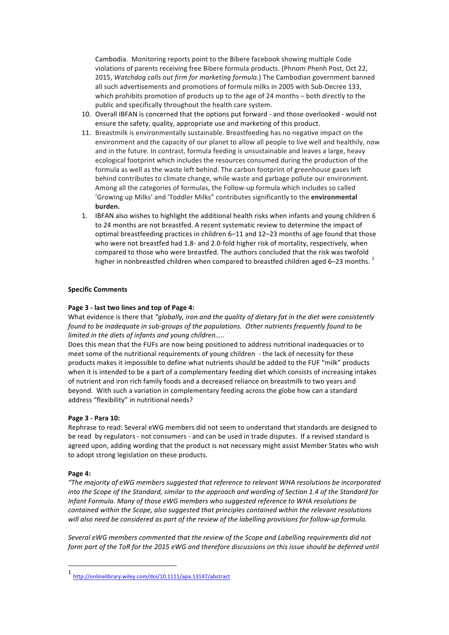Cambodia. Monitoring reports point to the Bibere facebook showing multiple Code violations of parents receiving free Bibere formula products. (Phnom Phenh Post, Oct 22, 2015, Watchdog calls out firm for marketing formula.) The Cambodian government banned all such advertisements and promotions of formula milks in 2005 with Sub-Decree 133, which prohibits promotion of products up to the age of 24 months  $-$  both directly to the public and specifically throughout the health care system.

- 10. Overall IBFAN is concerned that the options put forward and those overlooked would not ensure the safety, quality, appropriate use and marketing of this product.
- 11. Breastmilk is environmentally sustainable. Breastfeeding has no negative impact on the environment and the capacity of our planet to allow all people to live well and healthily, now and in the future. In contrast, formula feeding is unsustainable and leaves a large, heavy ecological footprint which includes the resources consumed during the production of the formula as well as the waste left behind. The carbon footprint of greenhouse gases left behind contributes to climate change, while waste and garbage pollute our environment. Among all the categories of formulas, the Follow-up formula which includes so called 'Growing up Milks' and 'Toddler Milks" contributes significantly to the *environmental* **burden.**
- 1. IBFAN also wishes to highlight the additional health risks when infants and young children 6 to 24 months are not breastfed. A recent systematic review to determine the impact of optimal breastfeeding practices in children 6–11 and 12–23 months of age found that those who were not breastfed had 1.8- and 2.0-fold higher risk of mortality, respectively, when compared to those who were breastfed. The authors concluded that the risk was twofold higher in nonbreastfed children when compared to breastfed children aged 6-23 months.<sup>1</sup>

#### **Specific Comments**

#### Page 3 - last two lines and top of Page 4:

What evidence is there that "globally, iron and the quality of dietary fat in the diet were consistently *found* to be inadequate in sub-groups of the populations. Other nutrients frequently found to be *limited in the diets of infants and young children.....* 

Does this mean that the FUFs are now being positioned to address nutritional inadequacies or to meet some of the nutritional requirements of young children - the lack of necessity for these products makes it impossible to define what nutrients should be added to the FUF "milk" products when it is intended to be a part of a complementary feeding diet which consists of increasing intakes of nutrient and iron rich family foods and a decreased reliance on breastmilk to two years and beyond. With such a variation in complementary feeding across the globe how can a standard address "flexibility" in nutritional needs?

#### **Page 3 - Para 10:**

Rephrase to read: Several eWG members did not seem to understand that standards are designed to be read by regulators - not consumers - and can be used in trade disputes. If a revised standard is agreed upon, adding wording that the product is not necessary might assist Member States who wish to adopt strong legislation on these products.

#### Page 4:

"The majority of eWG members suggested that reference to relevant WHA resolutions be incorporated *into the Scope of the Standard, similar to the approach and wording of Section 1.4 of the Standard for Infant Formula. Many of those eWG members who suggested reference to WHA resolutions be contained within the Scope, also suggested that principles contained within the relevant resolutions* will also need be considered as part of the review of the labelling provisions for follow-up formula.

Several eWG members commented that the review of the Scope and Labelling requirements did not *form part of the ToR for the 2015 eWG and therefore discussions on this issue should be deferred until* 

 

<sup>1</sup> http://onlinelibrary.wiley.com/doi/10.1111/apa.13147/abstract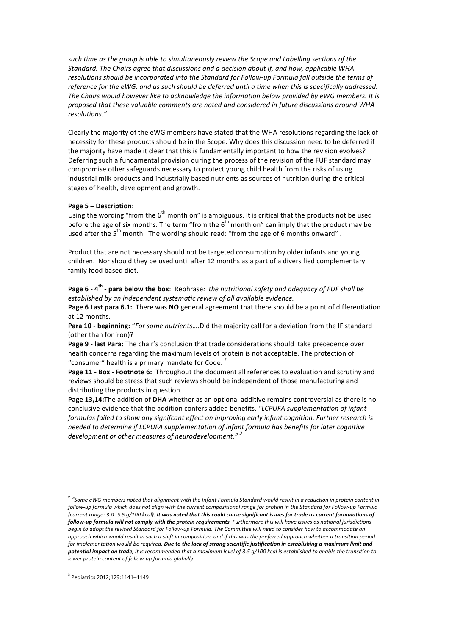such time as the group is able to simultaneously review the Scope and Labelling sections of the Standard. The Chairs agree that discussions and a decision about if, and how, applicable WHA resolutions should be incorporated into the Standard for Follow-up Formula fall outside the terms of *reference for the eWG, and as such should be deferred until a time when this is specifically addressed.* The Chairs would however like to acknowledge the information below provided by eWG members. It is proposed that these valuable comments are noted and considered in future discussions around WHA *resolutions."*

Clearly the majority of the eWG members have stated that the WHA resolutions regarding the lack of necessity for these products should be in the Scope. Why does this discussion need to be deferred if the majority have made it clear that this is fundamentally important to how the revision evolves? Deferring such a fundamental provision during the process of the revision of the FUF standard may compromise other safeguards necessary to protect young child health from the risks of using industrial milk products and industrially based nutrients as sources of nutrition during the critical stages of health, development and growth.

#### **Page 5 – Description:**

Using the wording "from the  $6<sup>th</sup>$  month on" is ambiguous. It is critical that the products not be used before the age of six months. The term "from the  $6<sup>th</sup>$  month on" can imply that the product may be used after the  $5<sup>th</sup>$  month. The wording should read: "from the age of 6 months onward".

Product that are not necessary should not be targeted consumption by older infants and young children. Nor should they be used until after 12 months as a part of a diversified complementary family food based diet.

**Page 6 - 4<sup>th</sup> - para below the box**: Rephrase: *the nutritional safety and adequacy of FUF shall be* established by an independent systematic review of all available evidence.

Page 6 Last para 6.1: There was NO general agreement that there should be a point of differentiation at 12 months.

**Para 10 - beginning:** "For some nutrients....Did the majority call for a deviation from the IF standard (other than for iron)?

**Page 9 - last Para:** The chair's conclusion that trade considerations should take precedence over health concerns regarding the maximum levels of protein is not acceptable. The protection of "consumer" health is a primary mandate for Code.<sup>2</sup>

**Page 11 - Box - Footnote 6:** Throughout the document all references to evaluation and scrutiny and reviews should be stress that such reviews should be independent of those manufacturing and distributing the products in question.

Page 13,14:The addition of DHA whether as an optional additive remains controversial as there is no conclusive evidence that the addition confers added benefits. "LCPUFA supplementation of infant *formulas failed to show any signifcant effect on improving early infant cognition. Further research is* needed to determine if LCPUFA supplementation of infant formula has benefits for later cognitive development or other measures of neurodevelopment."<sup>3</sup>

<sup>&</sup>lt;sup>2</sup> "Some eWG members noted that alignment with the Infant Formula Standard would result in a reduction in protein content in follow-up formula which does not align with the current compositional range for protein in the Standard for Follow-up Formula (current range: 3.0 -5.5 g/100 kcal). It was noted that this could cause significant issues for trade as current formulations of follow-up formula will not comply with the protein requirements. Furthermore this will have issues as national jurisdictions *begin* to adopt the revised Standard for Follow-up Formula. The Committee will need to consider how to accommodate an approach which would result in such a shift in composition, and if this was the preferred approach whether a transition period for implementation would be required. Due to the lack of strong scientific justification in establishing a maximum limit and potential impact on trade, it is recommended that a maximum level of 3.5 g/100 kcal is established to enable the transition to *lower protein content of follow-up formula globally*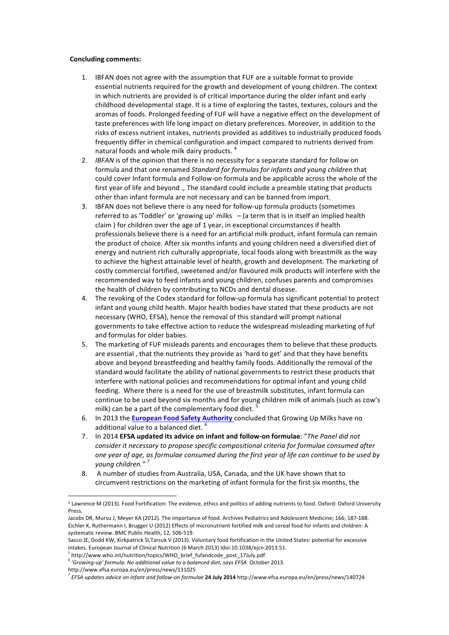#### **Concluding comments:**

- 1. IBFAN does not agree with the assumption that FUF are a suitable format to provide essential nutrients required for the growth and development of young children. The context in which nutrients are provided is of critical importance during the older infant and early childhood developmental stage. It is a time of exploring the tastes, textures, colours and the aromas of foods. Prolonged feeding of FUF will have a negative effect on the development of taste preferences with life long impact on dietary preferences. Moreover, in addition to the risks of excess nutrient intakes, nutrients provided as additives to industrially produced foods frequently differ in chemical configuration and impact compared to nutrients derived from natural foods and whole milk dairy products.  $^4$
- 2. *IBFAN* is of the opinion that there is no necessity for a separate standard for follow on formula and that one renamed *Standard for formulas for infants and young children* that could cover Infant formula and Follow-on formula and be applicable across the whole of the first year of life and beyond ., The standard could include a preamble stating that products other than infant formula are not necessary and can be banned from import.
- 3. IBFAN does not believe there is any need for follow-up formula products (sometimes referred to as 'Toddler' or 'growing up' milks  $-$  (a term that is in itself an implied health claim ) for children over the age of 1 year, in exceptional circumstances if health professionals believe there is a need for an artificial milk product, infant formula can remain the product of choice. After six months infants and young children need a diversified diet of energy and nutrient rich culturally appropriate, local foods along with breastmilk as the way to achieve the highest attainable level of health, growth and development. The marketing of costly commercial fortified, sweetened and/or flavoured milk products will interfere with the recommended way to feed infants and young children, confuses parents and compromises the health of children by contributing to NCDs and dental disease.
- 4. The revoking of the Codex standard for follow-up formula has significant potential to protect infant and young child health. Major health bodies have stated that these products are not necessary (WHO, EFSA), hence the removal of this standard will prompt national governments to take effective action to reduce the widespread misleading marketing of fuf and formulas for older babies.
- 5. The marketing of FUF misleads parents and encourages them to believe that these products are essential, that the nutrients they provide as 'hard to get' and that they have benefits above and beyond breastfeeding and healthy family foods. Additionally the removal of the standard would facilitate the ability of national governments to restrict these products that interfere with national policies and recommendations for optimal infant and young child feeding. Where there is a need for the use of breastmilk substitutes, infant formula can continue to be used beyond six months and for young children milk of animals (such as cow's milk) can be a part of the complementary food diet.<sup>5</sup>
- 6. In 2013 the **European Food Safety Authority** concluded that Growing Up Milks have no additional value to a balanced diet. <sup>6</sup>
- 7. In 2014 **EFSA updated its advice on infant and follow-on formulae**: "The Panel did not *consider it necessary to propose specific compositional criteria for formulae consumed after* one year of age, as formulae consumed during the first year of life can continue to be used by *young children."*
- 8. A number of studies from Australia, USA, Canada, and the UK have shown that to circumvent restrictions on the marketing of infant formula for the first six months, the

 

<sup>4</sup> Lawrence M (2013). Food Fortification: The evidence, ethics and politics of adding nutrients to food. Oxford: Oxford University Press. 

Jacobs DR, Mursu J, Meyer KA (2012). The importance of food. Archives Pediatrics and Adolescent Medicine; 166; 187-188. Eichler K, Ruthermann I, Brugger U (2012) Effects of micronutrient fortified milk and cereal food for infants and children: A systematic review. BMC Public Health, 12, 506-519.

Sacco JE, Dodd KW, Kirkpatrick SI,Tarsuk V (2013). Voluntary food fortification in the United States: potential for excessive intakes. European Journal of Clinical Nutrition (6 March 2013) Idoi:10.1038/ejcn.2013.51.

<sup>5</sup> http://www.who.int/nutrition/topics/WHO\_brief\_fufandcode\_post\_17July.pdf

<sup>&</sup>lt;sup>6</sup> 'Growing-up' formula: No additional value to a balanced diet, says EFSA October 2013.

http://www.efsa.europa.eu/en/press/news/131025

<sup>&</sup>lt;sup>7</sup> EFSA updates advice on infant and follow-on formulae 24 July 2014 http://www.efsa.europa.eu/en/press/news/140724